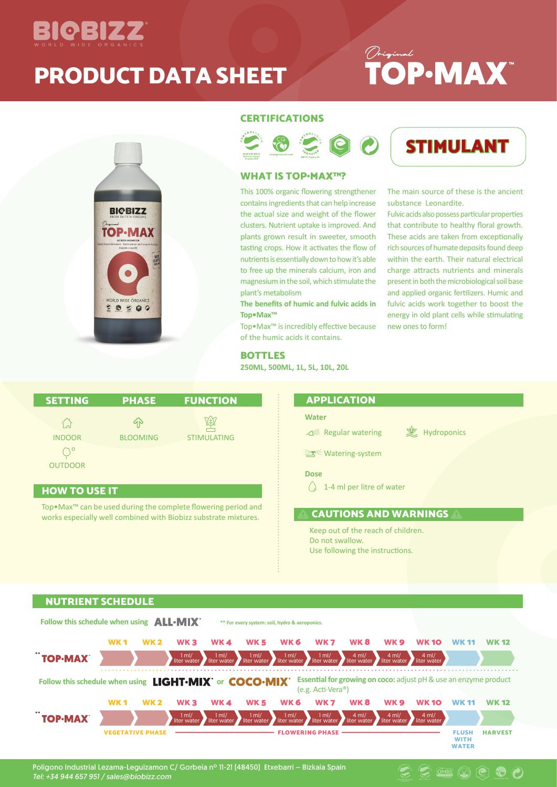

### PRODUCT DATA SHEET

## *Original*<br>**TOP**.MAX<sup>"</sup>



#### **CERTIFICATIONS**



#### WHAT IS TOP•MAX™?

This 100% organic flowering strengthener contains ingredients that can help increase the actual size and weight of the flower clusters. Nutrient uptake is improved. And plants grown result in sweeter, smooth tasting crops. How it activates the flow of nutrients is essentially down to how it's able to free up the minerals calcium, iron and magnesium in the soil, which stimulate the plant's metabolism

**The benefits of humic and fulvic acids in Top•Max™**

Top•Max™ is incredibly effective because of the humic acids it contains.

BOTTLES

**250ML, 500ML, 1L, 5L, 10L, 20L**

STIMULANT

The main source of these is the ancient substance Leonardite.

Fulvic acids also possess particular properties that contribute to healthy floral growth. These acids are taken from exceptionally rich sources of humate deposits found deep within the earth. Their natural electrical charge attracts nutrients and minerals present in both the microbiological soil base and applied organic fertilizers. Humic and fulvic acids work together to boost the energy in old plant cells while stimulating new ones to form!

| <b>SETTING</b>                                                   | <b>PHASE</b>          | <b>FUNCTION</b>    |
|------------------------------------------------------------------|-----------------------|--------------------|
| $\left( \begin{array}{c} 1 \end{array} \right)$<br><b>INDOOR</b> | 1N<br><b>BLOOMING</b> | <b>STIMULATING</b> |
| <b>OUTDOOR</b>                                                   |                       |                    |

#### HOW TO USE IT

Top•Max™ can be used during the complete flowering period and works especially well combined with Biobizz substrate mixtures.

#### APPLICATION

#### **Water**

<sup>注意:</sup> Watering-system

Regular watering  $\mathscr{L}$  Hydroponics

 $\circledR$   $\circledR$   $\circledR$   $\circledR$ 

**Dose**

 $\bigcirc$  1-4 ml per litre of water

CAUTIONS AND WARNINGS

Keep out of the reach of children. Do not swallow. Use following the instructions.

#### NUTRIENT SCHEDULE